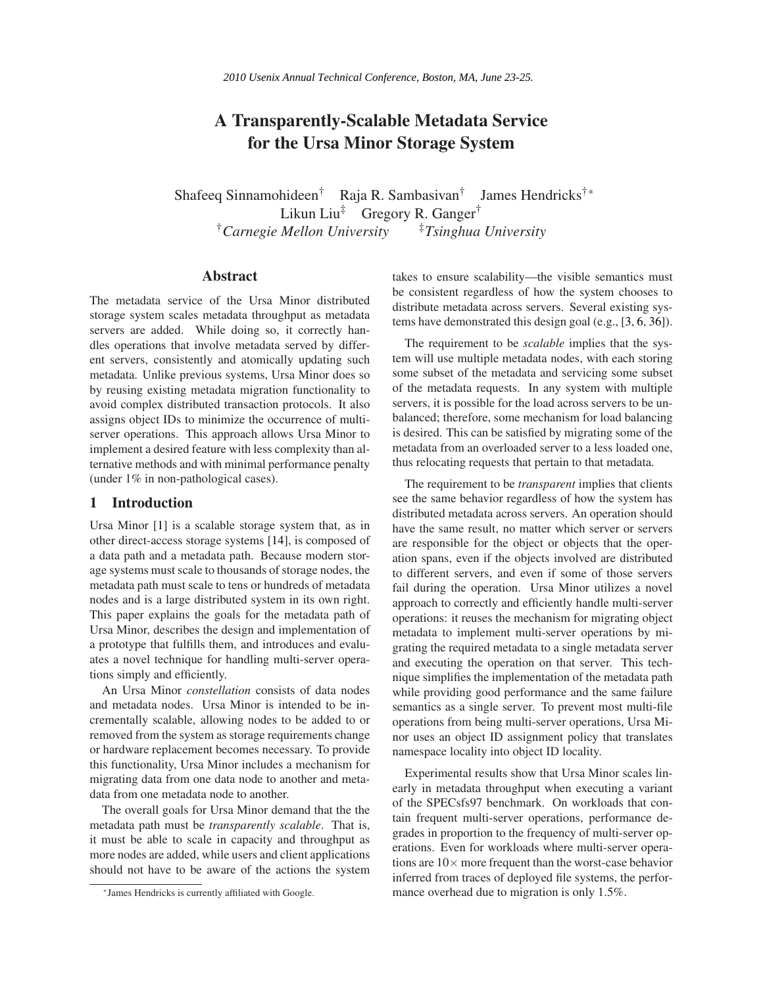# **A Transparently-Scalable Metadata Service for the Ursa Minor Storage System**

Shafeeq Sinnamohideen† Raja R. Sambasivan† James Hendricks†<sup>∗</sup> Likun Liu<sup>‡</sup> Gregory R. Ganger<sup>†</sup> †*Carnegie Mellon University* ‡*Tsinghua University*

# **Abstract**

The metadata service of the Ursa Minor distributed storage system scales metadata throughput as metadata servers are added. While doing so, it correctly handles operations that involve metadata served by different servers, consistently and atomically updating such metadata. Unlike previous systems, Ursa Minor does so by reusing existing metadata migration functionality to avoid complex distributed transaction protocols. It also assigns object IDs to minimize the occurrence of multiserver operations. This approach allows Ursa Minor to implement a desired feature with less complexity than alternative methods and with minimal performance penalty (under 1% in non-pathological cases).

### **1 Introduction**

Ursa Minor [\[1\]](#page--1-0) is a scalable storage system that, as in other direct-access storage systems [\[14\]](#page--1-1), is composed of a data path and a metadata path. Because modern storage systems must scale to thousands of storage nodes, the metadata path must scale to tens or hundreds of metadata nodes and is a large distributed system in its own right. This paper explains the goals for the metadata path of Ursa Minor, describes the design and implementation of a prototype that fulfills them, and introduces and evaluates a novel technique for handling multi-server operations simply and efficiently.

An Ursa Minor *constellation* consists of data nodes and metadata nodes. Ursa Minor is intended to be incrementally scalable, allowing nodes to be added to or removed from the system as storage requirements change or hardware replacement becomes necessary. To provide this functionality, Ursa Minor includes a mechanism for migrating data from one data node to another and metadata from one metadata node to another.

The overall goals for Ursa Minor demand that the the metadata path must be *transparently scalable*. That is, it must be able to scale in capacity and throughput as more nodes are added, while users and client applications should not have to be aware of the actions the system takes to ensure scalability—the visible semantics must be consistent regardless of how the system chooses to distribute metadata across servers. Several existing systems have demonstrated this design goal (e.g., [\[3,](#page--1-2) [6,](#page--1-3) [36\]](#page--1-4)).

The requirement to be *scalable* implies that the system will use multiple metadata nodes, with each storing some subset of the metadata and servicing some subset of the metadata requests. In any system with multiple servers, it is possible for the load across servers to be unbalanced; therefore, some mechanism for load balancing is desired. This can be satisfied by migrating some of the metadata from an overloaded server to a less loaded one, thus relocating requests that pertain to that metadata.

The requirement to be *transparent* implies that clients see the same behavior regardless of how the system has distributed metadata across servers. An operation should have the same result, no matter which server or servers are responsible for the object or objects that the operation spans, even if the objects involved are distributed to different servers, and even if some of those servers fail during the operation. Ursa Minor utilizes a novel approach to correctly and efficiently handle multi-server operations: it reuses the mechanism for migrating object metadata to implement multi-server operations by migrating the required metadata to a single metadata server and executing the operation on that server. This technique simplifies the implementation of the metadata path while providing good performance and the same failure semantics as a single server. To prevent most multi-file operations from being multi-server operations, Ursa Minor uses an object ID assignment policy that translates namespace locality into object ID locality.

Experimental results show that Ursa Minor scales linearly in metadata throughput when executing a variant of the SPECsfs97 benchmark. On workloads that contain frequent multi-server operations, performance degrades in proportion to the frequency of multi-server operations. Even for workloads where multi-server operations are  $10\times$  more frequent than the worst-case behavior inferred from traces of deployed file systems, the performance overhead due to migration is only 1.5%.

<sup>∗</sup> James Hendricks is currently affiliated with Google.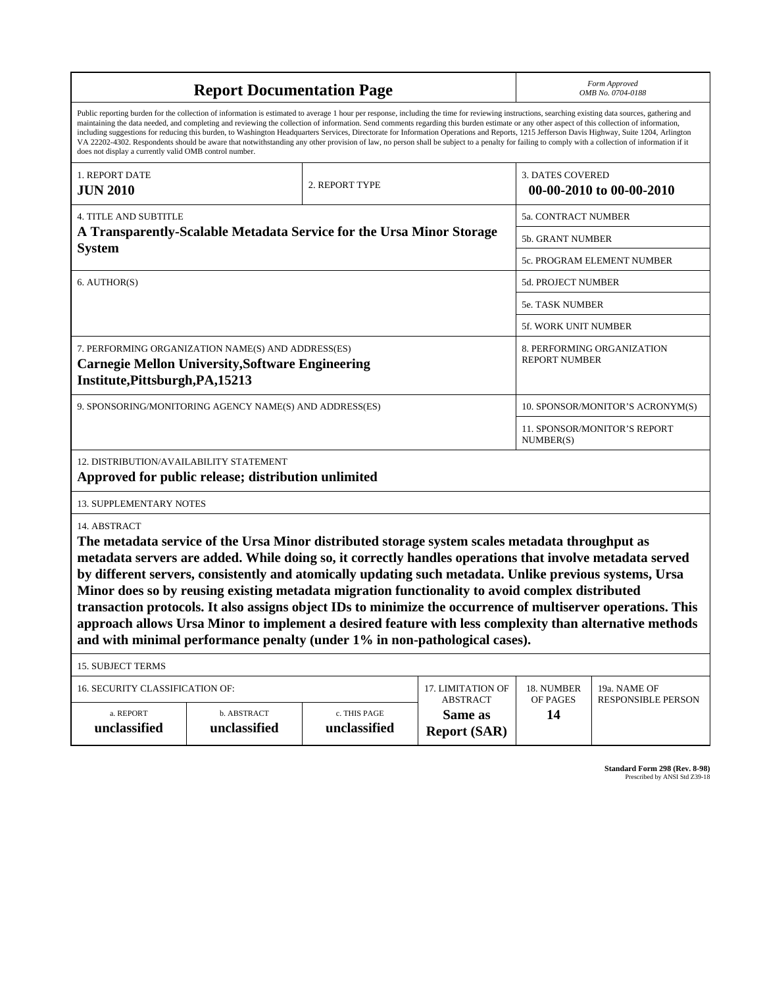| <b>Report Documentation Page</b>                                                                                                                                                                                                                                                                                                                                                                                                                                                                                                                                                                                                                                                                                                                                                                                                                                   |                             |                                                                       |                                                   | Form Approved<br>OMB No. 0704-0188                 |                           |  |
|--------------------------------------------------------------------------------------------------------------------------------------------------------------------------------------------------------------------------------------------------------------------------------------------------------------------------------------------------------------------------------------------------------------------------------------------------------------------------------------------------------------------------------------------------------------------------------------------------------------------------------------------------------------------------------------------------------------------------------------------------------------------------------------------------------------------------------------------------------------------|-----------------------------|-----------------------------------------------------------------------|---------------------------------------------------|----------------------------------------------------|---------------------------|--|
| Public reporting burden for the collection of information is estimated to average 1 hour per response, including the time for reviewing instructions, searching existing data sources, gathering and<br>maintaining the data needed, and completing and reviewing the collection of information. Send comments regarding this burden estimate or any other aspect of this collection of information,<br>including suggestions for reducing this burden, to Washington Headquarters Services, Directorate for Information Operations and Reports, 1215 Jefferson Davis Highway, Suite 1204, Arlington<br>VA 22202-4302. Respondents should be aware that notwithstanding any other provision of law, no person shall be subject to a penalty for failing to comply with a collection of information if it<br>does not display a currently valid OMB control number. |                             |                                                                       |                                                   |                                                    |                           |  |
| 1. REPORT DATE<br><b>JUN 2010</b>                                                                                                                                                                                                                                                                                                                                                                                                                                                                                                                                                                                                                                                                                                                                                                                                                                  |                             | <b>3. DATES COVERED</b><br>2. REPORT TYPE<br>00-00-2010 to 00-00-2010 |                                                   |                                                    |                           |  |
| <b>4. TITLE AND SUBTITLE</b>                                                                                                                                                                                                                                                                                                                                                                                                                                                                                                                                                                                                                                                                                                                                                                                                                                       |                             | 5a. CONTRACT NUMBER                                                   |                                                   |                                                    |                           |  |
| A Transparently-Scalable Metadata Service for the Ursa Minor Storage                                                                                                                                                                                                                                                                                                                                                                                                                                                                                                                                                                                                                                                                                                                                                                                               |                             |                                                                       | 5b. GRANT NUMBER                                  |                                                    |                           |  |
| <b>System</b>                                                                                                                                                                                                                                                                                                                                                                                                                                                                                                                                                                                                                                                                                                                                                                                                                                                      |                             |                                                                       |                                                   | 5c. PROGRAM ELEMENT NUMBER                         |                           |  |
| 6. AUTHOR(S)                                                                                                                                                                                                                                                                                                                                                                                                                                                                                                                                                                                                                                                                                                                                                                                                                                                       |                             |                                                                       |                                                   | 5d. PROJECT NUMBER                                 |                           |  |
|                                                                                                                                                                                                                                                                                                                                                                                                                                                                                                                                                                                                                                                                                                                                                                                                                                                                    |                             |                                                                       |                                                   | <b>5e. TASK NUMBER</b>                             |                           |  |
|                                                                                                                                                                                                                                                                                                                                                                                                                                                                                                                                                                                                                                                                                                                                                                                                                                                                    |                             |                                                                       |                                                   | 5f. WORK UNIT NUMBER                               |                           |  |
| 7. PERFORMING ORGANIZATION NAME(S) AND ADDRESS(ES)<br><b>Carnegie Mellon University, Software Engineering</b><br>Institute, Pittsburgh, PA, 15213                                                                                                                                                                                                                                                                                                                                                                                                                                                                                                                                                                                                                                                                                                                  |                             |                                                                       |                                                   | 8. PERFORMING ORGANIZATION<br><b>REPORT NUMBER</b> |                           |  |
| 9. SPONSORING/MONITORING AGENCY NAME(S) AND ADDRESS(ES)                                                                                                                                                                                                                                                                                                                                                                                                                                                                                                                                                                                                                                                                                                                                                                                                            |                             |                                                                       |                                                   | 10. SPONSOR/MONITOR'S ACRONYM(S)                   |                           |  |
|                                                                                                                                                                                                                                                                                                                                                                                                                                                                                                                                                                                                                                                                                                                                                                                                                                                                    |                             |                                                                       |                                                   | <b>11. SPONSOR/MONITOR'S REPORT</b><br>NUMBER(S)   |                           |  |
| 12. DISTRIBUTION/AVAILABILITY STATEMENT<br>Approved for public release; distribution unlimited                                                                                                                                                                                                                                                                                                                                                                                                                                                                                                                                                                                                                                                                                                                                                                     |                             |                                                                       |                                                   |                                                    |                           |  |
| <b>13. SUPPLEMENTARY NOTES</b>                                                                                                                                                                                                                                                                                                                                                                                                                                                                                                                                                                                                                                                                                                                                                                                                                                     |                             |                                                                       |                                                   |                                                    |                           |  |
| 14. ABSTRACT<br>The metadata service of the Ursa Minor distributed storage system scales metadata throughput as<br>metadata servers are added. While doing so, it correctly handles operations that involve metadata served<br>by different servers, consistently and atomically updating such metadata. Unlike previous systems, Ursa<br>Minor does so by reusing existing metadata migration functionality to avoid complex distributed<br>transaction protocols. It also assigns object IDs to minimize the occurrence of multiserver operations. This<br>approach allows Ursa Minor to implement a desired feature with less complexity than alternative methods<br>and with minimal performance penalty (under 1% in non-pathological cases).                                                                                                                 |                             |                                                                       |                                                   |                                                    |                           |  |
| <b>15. SUBJECT TERMS</b>                                                                                                                                                                                                                                                                                                                                                                                                                                                                                                                                                                                                                                                                                                                                                                                                                                           |                             |                                                                       |                                                   |                                                    |                           |  |
| 16. SECURITY CLASSIFICATION OF:                                                                                                                                                                                                                                                                                                                                                                                                                                                                                                                                                                                                                                                                                                                                                                                                                                    |                             |                                                                       | 17. LIMITATION OF                                 | 18. NUMBER                                         | 19a. NAME OF              |  |
| a. REPORT<br>unclassified                                                                                                                                                                                                                                                                                                                                                                                                                                                                                                                                                                                                                                                                                                                                                                                                                                          | b. ABSTRACT<br>unclassified | c. THIS PAGE<br>unclassified                                          | <b>ABSTRACT</b><br>Same as<br><b>Report (SAR)</b> | OF PAGES<br>14                                     | <b>RESPONSIBLE PERSON</b> |  |

**Standard Form 298 (Rev. 8-98)**<br>Prescribed by ANSI Std Z39-18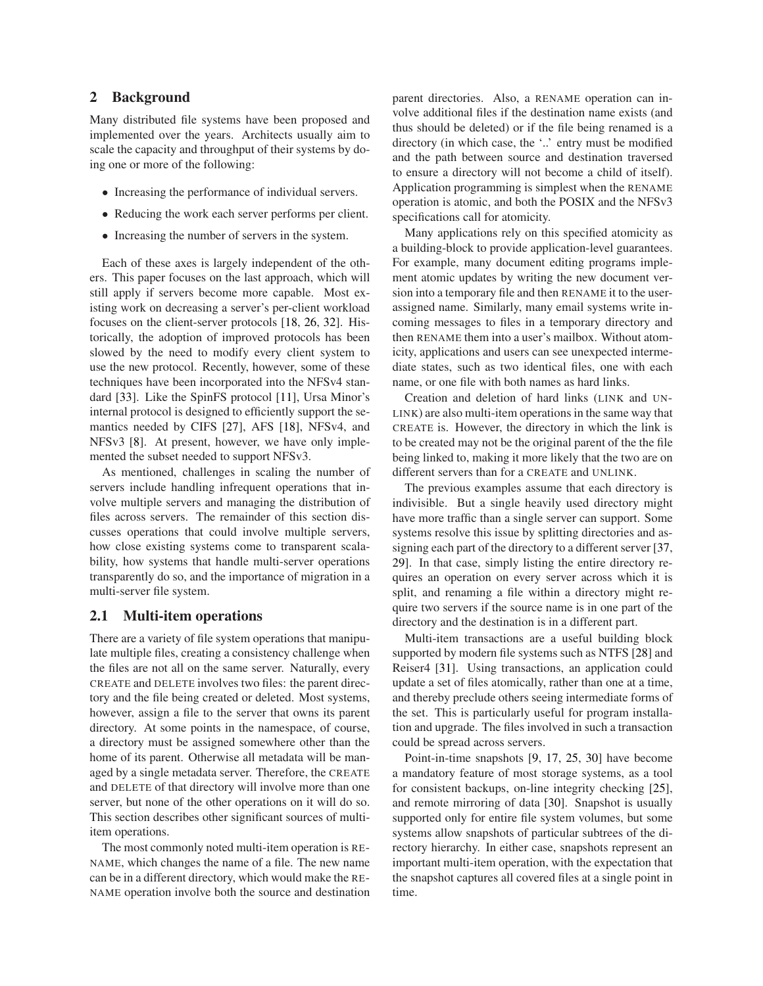# **2 Background**

Many distributed file systems have been proposed and implemented over the years. Architects usually aim to scale the capacity and throughput of their systems by doing one or more of the following:

- Increasing the performance of individual servers.
- Reducing the work each server performs per client.
- Increasing the number of servers in the system.

Each of these axes is largely independent of the others. This paper focuses on the last approach, which will still apply if servers become more capable. Most existing work on decreasing a server's per-client workload focuses on the client-server protocols [\[18,](#page-14-0) [26,](#page-14-1) [32\]](#page-14-2). Historically, the adoption of improved protocols has been slowed by the need to modify every client system to use the new protocol. Recently, however, some of these techniques have been incorporated into the NFSv4 standard [\[33\]](#page-14-3). Like the SpinFS protocol [\[11\]](#page-14-4), Ursa Minor's internal protocol is designed to efficiently support the semantics needed by CIFS [\[27\]](#page-14-5), AFS [\[18\]](#page-14-0), NFSv4, and NFSv3 [\[8\]](#page-14-6). At present, however, we have only implemented the subset needed to support NFSv3.

As mentioned, challenges in scaling the number of servers include handling infrequent operations that involve multiple servers and managing the distribution of files across servers. The remainder of this section discusses operations that could involve multiple servers, how close existing systems come to transparent scalability, how systems that handle multi-server operations transparently do so, and the importance of migration in a multi-server file system.

# **2.1 Multi-item operations**

There are a variety of file system operations that manipulate multiple files, creating a consistency challenge when the files are not all on the same server. Naturally, every CREATE and DELETE involves two files: the parent directory and the file being created or deleted. Most systems, however, assign a file to the server that owns its parent directory. At some points in the namespace, of course, a directory must be assigned somewhere other than the home of its parent. Otherwise all metadata will be managed by a single metadata server. Therefore, the CREATE and DELETE of that directory will involve more than one server, but none of the other operations on it will do so. This section describes other significant sources of multiitem operations.

The most commonly noted multi-item operation is RE-NAME, which changes the name of a file. The new name can be in a different directory, which would make the RE-NAME operation involve both the source and destination parent directories. Also, a RENAME operation can involve additional files if the destination name exists (and thus should be deleted) or if the file being renamed is a directory (in which case, the '..' entry must be modified and the path between source and destination traversed to ensure a directory will not become a child of itself). Application programming is simplest when the RENAME operation is atomic, and both the POSIX and the NFSv3 specifications call for atomicity.

Many applications rely on this specified atomicity as a building-block to provide application-level guarantees. For example, many document editing programs implement atomic updates by writing the new document version into a temporary file and then RENAME it to the userassigned name. Similarly, many email systems write incoming messages to files in a temporary directory and then RENAME them into a user's mailbox. Without atomicity, applications and users can see unexpected intermediate states, such as two identical files, one with each name, or one file with both names as hard links.

Creation and deletion of hard links (LINK and UN-LINK) are also multi-item operations in the same way that CREATE is. However, the directory in which the link is to be created may not be the original parent of the the file being linked to, making it more likely that the two are on different servers than for a CREATE and UNLINK.

The previous examples assume that each directory is indivisible. But a single heavily used directory might have more traffic than a single server can support. Some systems resolve this issue by splitting directories and assigning each part of the directory to a different server [\[37,](#page-14-7) [29\]](#page-14-8). In that case, simply listing the entire directory requires an operation on every server across which it is split, and renaming a file within a directory might require two servers if the source name is in one part of the directory and the destination is in a different part.

Multi-item transactions are a useful building block supported by modern file systems such as NTFS [\[28\]](#page-14-9) and Reiser4 [\[31\]](#page-14-10). Using transactions, an application could update a set of files atomically, rather than one at a time, and thereby preclude others seeing intermediate forms of the set. This is particularly useful for program installation and upgrade. The files involved in such a transaction could be spread across servers.

Point-in-time snapshots [\[9,](#page-14-11) [17,](#page-14-12) [25,](#page-14-13) [30\]](#page-14-14) have become a mandatory feature of most storage systems, as a tool for consistent backups, on-line integrity checking [\[25\]](#page-14-13), and remote mirroring of data [\[30\]](#page-14-14). Snapshot is usually supported only for entire file system volumes, but some systems allow snapshots of particular subtrees of the directory hierarchy. In either case, snapshots represent an important multi-item operation, with the expectation that the snapshot captures all covered files at a single point in time.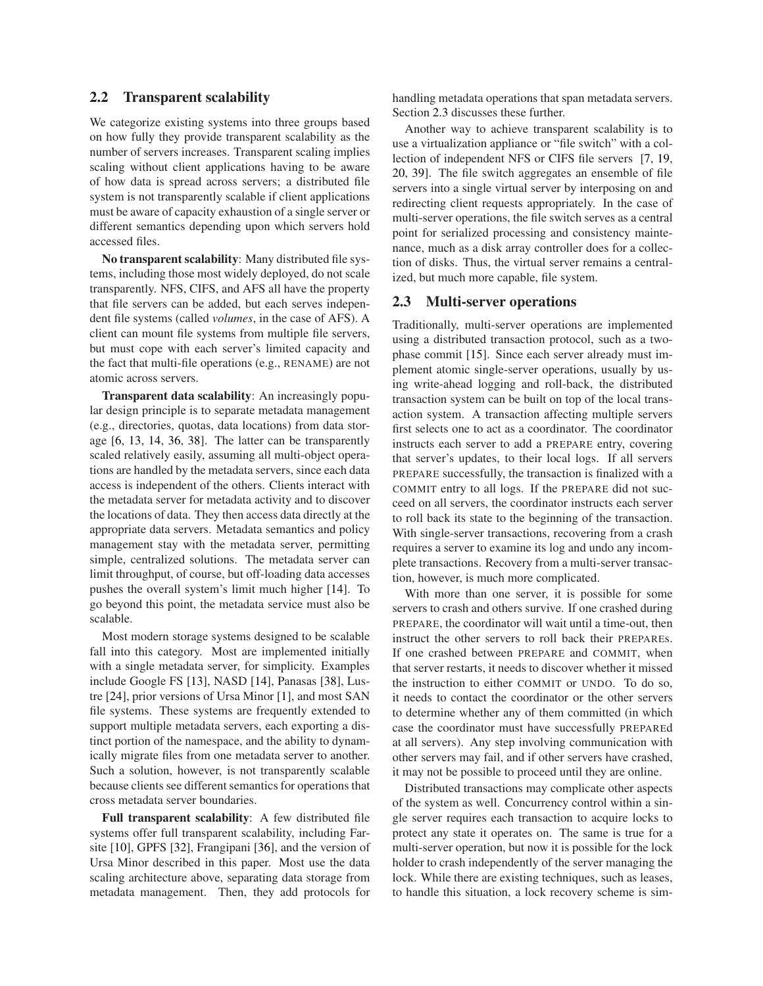### **2.2 Transparent scalability**

We categorize existing systems into three groups based on how fully they provide transparent scalability as the number of servers increases. Transparent scaling implies scaling without client applications having to be aware of how data is spread across servers; a distributed file system is not transparently scalable if client applications must be aware of capacity exhaustion of a single server or different semantics depending upon which servers hold accessed files.

**No transparent scalability**: Many distributed file systems, including those most widely deployed, do not scale transparently. NFS, CIFS, and AFS all have the property that file servers can be added, but each serves independent file systems (called *volumes*, in the case of AFS). A client can mount file systems from multiple file servers, but must cope with each server's limited capacity and the fact that multi-file operations (e.g., RENAME) are not atomic across servers.

**Transparent data scalability**: An increasingly popular design principle is to separate metadata management (e.g., directories, quotas, data locations) from data storage [\[6,](#page-14-15) [13,](#page-14-16) [14,](#page-14-17) [36,](#page-14-18) [38\]](#page-14-19). The latter can be transparently scaled relatively easily, assuming all multi-object operations are handled by the metadata servers, since each data access is independent of the others. Clients interact with the metadata server for metadata activity and to discover the locations of data. They then access data directly at the appropriate data servers. Metadata semantics and policy management stay with the metadata server, permitting simple, centralized solutions. The metadata server can limit throughput, of course, but off-loading data accesses pushes the overall system's limit much higher [\[14\]](#page-14-17). To go beyond this point, the metadata service must also be scalable.

Most modern storage systems designed to be scalable fall into this category. Most are implemented initially with a single metadata server, for simplicity. Examples include Google FS [\[13\]](#page-14-16), NASD [\[14\]](#page-14-17), Panasas [\[38\]](#page-14-19), Lustre [\[24\]](#page-14-20), prior versions of Ursa Minor [\[1\]](#page-14-21), and most SAN file systems. These systems are frequently extended to support multiple metadata servers, each exporting a distinct portion of the namespace, and the ability to dynamically migrate files from one metadata server to another. Such a solution, however, is not transparently scalable because clients see different semantics for operations that cross metadata server boundaries.

**Full transparent scalability**: A few distributed file systems offer full transparent scalability, including Farsite [\[10\]](#page-14-22), GPFS [\[32\]](#page-14-2), Frangipani [\[36\]](#page-14-18), and the version of Ursa Minor described in this paper. Most use the data scaling architecture above, separating data storage from metadata management. Then, they add protocols for handling metadata operations that span metadata servers. Section [2.3](#page-3-0) discusses these further.

Another way to achieve transparent scalability is to use a virtualization appliance or "file switch" with a collection of independent NFS or CIFS file servers [\[7,](#page-14-23) [19,](#page-14-24) [20,](#page-14-25) [39\]](#page-14-26). The file switch aggregates an ensemble of file servers into a single virtual server by interposing on and redirecting client requests appropriately. In the case of multi-server operations, the file switch serves as a central point for serialized processing and consistency maintenance, much as a disk array controller does for a collection of disks. Thus, the virtual server remains a centralized, but much more capable, file system.

### <span id="page-3-0"></span>**2.3 Multi-server operations**

Traditionally, multi-server operations are implemented using a distributed transaction protocol, such as a twophase commit [\[15\]](#page-14-27). Since each server already must implement atomic single-server operations, usually by using write-ahead logging and roll-back, the distributed transaction system can be built on top of the local transaction system. A transaction affecting multiple servers first selects one to act as a coordinator. The coordinator instructs each server to add a PREPARE entry, covering that server's updates, to their local logs. If all servers PREPARE successfully, the transaction is finalized with a COMMIT entry to all logs. If the PREPARE did not succeed on all servers, the coordinator instructs each server to roll back its state to the beginning of the transaction. With single-server transactions, recovering from a crash requires a server to examine its log and undo any incomplete transactions. Recovery from a multi-server transaction, however, is much more complicated.

With more than one server, it is possible for some servers to crash and others survive. If one crashed during PREPARE, the coordinator will wait until a time-out, then instruct the other servers to roll back their PREPAREs. If one crashed between PREPARE and COMMIT, when that server restarts, it needs to discover whether it missed the instruction to either COMMIT or UNDO. To do so, it needs to contact the coordinator or the other servers to determine whether any of them committed (in which case the coordinator must have successfully PREPAREd at all servers). Any step involving communication with other servers may fail, and if other servers have crashed, it may not be possible to proceed until they are online.

Distributed transactions may complicate other aspects of the system as well. Concurrency control within a single server requires each transaction to acquire locks to protect any state it operates on. The same is true for a multi-server operation, but now it is possible for the lock holder to crash independently of the server managing the lock. While there are existing techniques, such as leases, to handle this situation, a lock recovery scheme is sim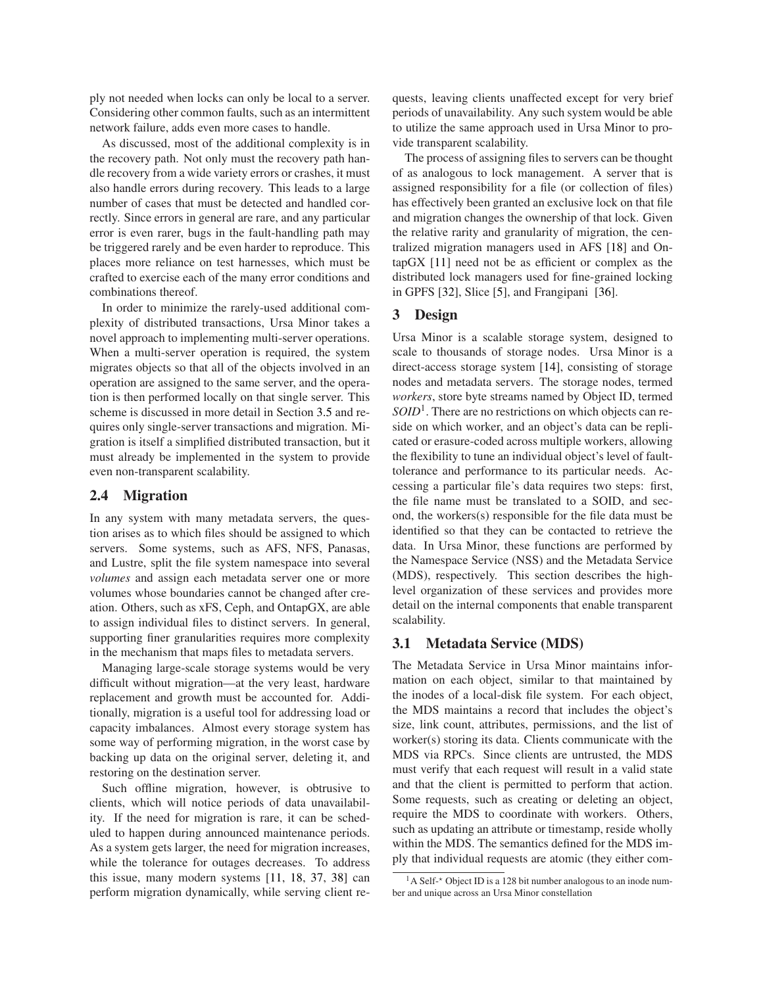ply not needed when locks can only be local to a server. Considering other common faults, such as an intermittent network failure, adds even more cases to handle.

As discussed, most of the additional complexity is in the recovery path. Not only must the recovery path handle recovery from a wide variety errors or crashes, it must also handle errors during recovery. This leads to a large number of cases that must be detected and handled correctly. Since errors in general are rare, and any particular error is even rarer, bugs in the fault-handling path may be triggered rarely and be even harder to reproduce. This places more reliance on test harnesses, which must be crafted to exercise each of the many error conditions and combinations thereof.

In order to minimize the rarely-used additional complexity of distributed transactions, Ursa Minor takes a novel approach to implementing multi-server operations. When a multi-server operation is required, the system migrates objects so that all of the objects involved in an operation are assigned to the same server, and the operation is then performed locally on that single server. This scheme is discussed in more detail in Section [3.5](#page-7-0) and requires only single-server transactions and migration. Migration is itself a simplified distributed transaction, but it must already be implemented in the system to provide even non-transparent scalability.

### **2.4 Migration**

In any system with many metadata servers, the question arises as to which files should be assigned to which servers. Some systems, such as AFS, NFS, Panasas, and Lustre, split the file system namespace into several *volumes* and assign each metadata server one or more volumes whose boundaries cannot be changed after creation. Others, such as xFS, Ceph, and OntapGX, are able to assign individual files to distinct servers. In general, supporting finer granularities requires more complexity in the mechanism that maps files to metadata servers.

Managing large-scale storage systems would be very difficult without migration—at the very least, hardware replacement and growth must be accounted for. Additionally, migration is a useful tool for addressing load or capacity imbalances. Almost every storage system has some way of performing migration, in the worst case by backing up data on the original server, deleting it, and restoring on the destination server.

Such offline migration, however, is obtrusive to clients, which will notice periods of data unavailability. If the need for migration is rare, it can be scheduled to happen during announced maintenance periods. As a system gets larger, the need for migration increases, while the tolerance for outages decreases. To address this issue, many modern systems [\[11,](#page-14-4) [18,](#page-14-0) [37,](#page-14-7) [38\]](#page-14-19) can perform migration dynamically, while serving client requests, leaving clients unaffected except for very brief periods of unavailability. Any such system would be able to utilize the same approach used in Ursa Minor to provide transparent scalability.

The process of assigning files to servers can be thought of as analogous to lock management. A server that is assigned responsibility for a file (or collection of files) has effectively been granted an exclusive lock on that file and migration changes the ownership of that lock. Given the relative rarity and granularity of migration, the centralized migration managers used in AFS [\[18\]](#page-14-0) and OntapGX [\[11\]](#page-14-4) need not be as efficient or complex as the distributed lock managers used for fine-grained locking in GPFS [\[32\]](#page-14-2), Slice [\[5\]](#page-14-28), and Frangipani [\[36\]](#page-14-18).

# **3 Design**

Ursa Minor is a scalable storage system, designed to scale to thousands of storage nodes. Ursa Minor is a direct-access storage system [\[14\]](#page-14-17), consisting of storage nodes and metadata servers. The storage nodes, termed *workers*, store byte streams named by Object ID, termed *SOID*<sup>1</sup> . There are no restrictions on which objects can reside on which worker, and an object's data can be replicated or erasure-coded across multiple workers, allowing the flexibility to tune an individual object's level of faulttolerance and performance to its particular needs. Accessing a particular file's data requires two steps: first, the file name must be translated to a SOID, and second, the workers(s) responsible for the file data must be identified so that they can be contacted to retrieve the data. In Ursa Minor, these functions are performed by the Namespace Service (NSS) and the Metadata Service (MDS), respectively. This section describes the highlevel organization of these services and provides more detail on the internal components that enable transparent scalability.

# **3.1 Metadata Service (MDS)**

The Metadata Service in Ursa Minor maintains information on each object, similar to that maintained by the inodes of a local-disk file system. For each object, the MDS maintains a record that includes the object's size, link count, attributes, permissions, and the list of worker(s) storing its data. Clients communicate with the MDS via RPCs. Since clients are untrusted, the MDS must verify that each request will result in a valid state and that the client is permitted to perform that action. Some requests, such as creating or deleting an object, require the MDS to coordinate with workers. Others, such as updating an attribute or timestamp, reside wholly within the MDS. The semantics defined for the MDS imply that individual requests are atomic (they either com-

 $1<sup>1</sup>A$  Self- $\star$  Object ID is a 128 bit number analogous to an inode number and unique across an Ursa Minor constellation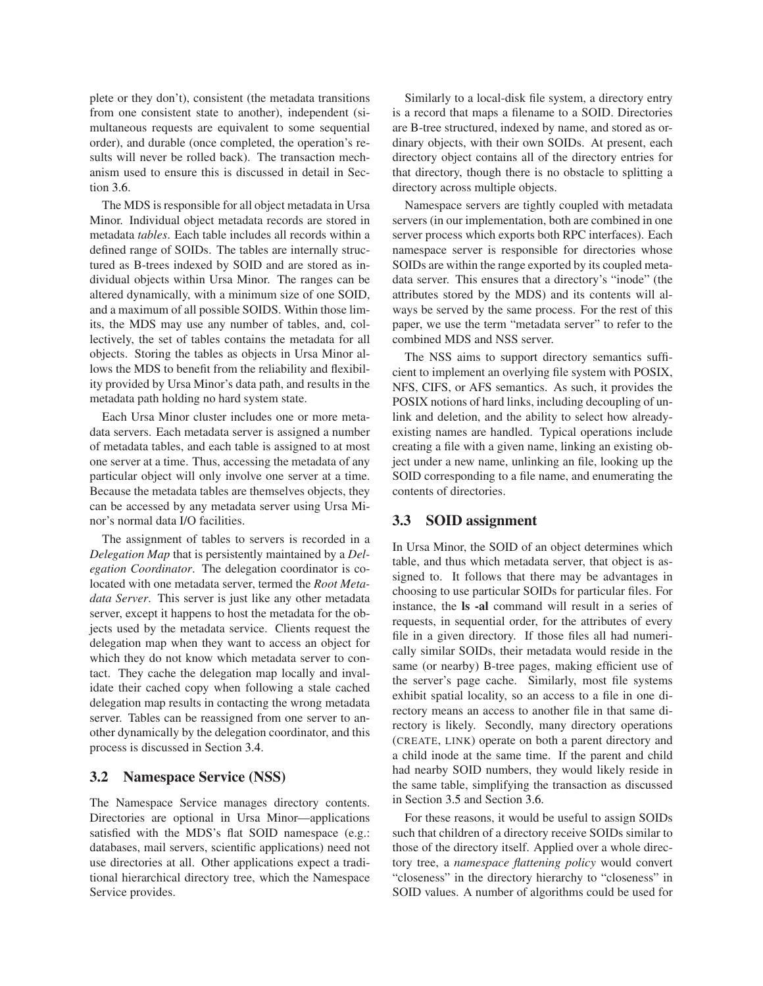plete or they don't), consistent (the metadata transitions from one consistent state to another), independent (simultaneous requests are equivalent to some sequential order), and durable (once completed, the operation's results will never be rolled back). The transaction mechanism used to ensure this is discussed in detail in Section [3.6.](#page-7-1)

The MDS is responsible for all object metadata in Ursa Minor. Individual object metadata records are stored in metadata *tables*. Each table includes all records within a defined range of SOIDs. The tables are internally structured as B-trees indexed by SOID and are stored as individual objects within Ursa Minor. The ranges can be altered dynamically, with a minimum size of one SOID, and a maximum of all possible SOIDS. Within those limits, the MDS may use any number of tables, and, collectively, the set of tables contains the metadata for all objects. Storing the tables as objects in Ursa Minor allows the MDS to benefit from the reliability and flexibility provided by Ursa Minor's data path, and results in the metadata path holding no hard system state.

Each Ursa Minor cluster includes one or more metadata servers. Each metadata server is assigned a number of metadata tables, and each table is assigned to at most one server at a time. Thus, accessing the metadata of any particular object will only involve one server at a time. Because the metadata tables are themselves objects, they can be accessed by any metadata server using Ursa Minor's normal data I/O facilities.

The assignment of tables to servers is recorded in a *Delegation Map* that is persistently maintained by a *Delegation Coordinator*. The delegation coordinator is colocated with one metadata server, termed the *Root Metadata Server*. This server is just like any other metadata server, except it happens to host the metadata for the objects used by the metadata service. Clients request the delegation map when they want to access an object for which they do not know which metadata server to contact. They cache the delegation map locally and invalidate their cached copy when following a stale cached delegation map results in contacting the wrong metadata server. Tables can be reassigned from one server to another dynamically by the delegation coordinator, and this process is discussed in Section [3.4.](#page-7-2)

### **3.2 Namespace Service (NSS)**

The Namespace Service manages directory contents. Directories are optional in Ursa Minor—applications satisfied with the MDS's flat SOID namespace (e.g.: databases, mail servers, scientific applications) need not use directories at all. Other applications expect a traditional hierarchical directory tree, which the Namespace Service provides.

Similarly to a local-disk file system, a directory entry is a record that maps a filename to a SOID. Directories are B-tree structured, indexed by name, and stored as ordinary objects, with their own SOIDs. At present, each directory object contains all of the directory entries for that directory, though there is no obstacle to splitting a directory across multiple objects.

Namespace servers are tightly coupled with metadata servers (in our implementation, both are combined in one server process which exports both RPC interfaces). Each namespace server is responsible for directories whose SOIDs are within the range exported by its coupled metadata server. This ensures that a directory's "inode" (the attributes stored by the MDS) and its contents will always be served by the same process. For the rest of this paper, we use the term "metadata server" to refer to the combined MDS and NSS server.

The NSS aims to support directory semantics sufficient to implement an overlying file system with POSIX, NFS, CIFS, or AFS semantics. As such, it provides the POSIX notions of hard links, including decoupling of unlink and deletion, and the ability to select how alreadyexisting names are handled. Typical operations include creating a file with a given name, linking an existing object under a new name, unlinking an file, looking up the SOID corresponding to a file name, and enumerating the contents of directories.

# <span id="page-5-0"></span>**3.3 SOID assignment**

In Ursa Minor, the SOID of an object determines which table, and thus which metadata server, that object is assigned to. It follows that there may be advantages in choosing to use particular SOIDs for particular files. For instance, the **ls -al** command will result in a series of requests, in sequential order, for the attributes of every file in a given directory. If those files all had numerically similar SOIDs, their metadata would reside in the same (or nearby) B-tree pages, making efficient use of the server's page cache. Similarly, most file systems exhibit spatial locality, so an access to a file in one directory means an access to another file in that same directory is likely. Secondly, many directory operations (CREATE, LINK) operate on both a parent directory and a child inode at the same time. If the parent and child had nearby SOID numbers, they would likely reside in the same table, simplifying the transaction as discussed in Section [3.5](#page-7-0) and Section [3.6.](#page-7-1)

For these reasons, it would be useful to assign SOIDs such that children of a directory receive SOIDs similar to those of the directory itself. Applied over a whole directory tree, a *namespace flattening policy* would convert "closeness" in the directory hierarchy to "closeness" in SOID values. A number of algorithms could be used for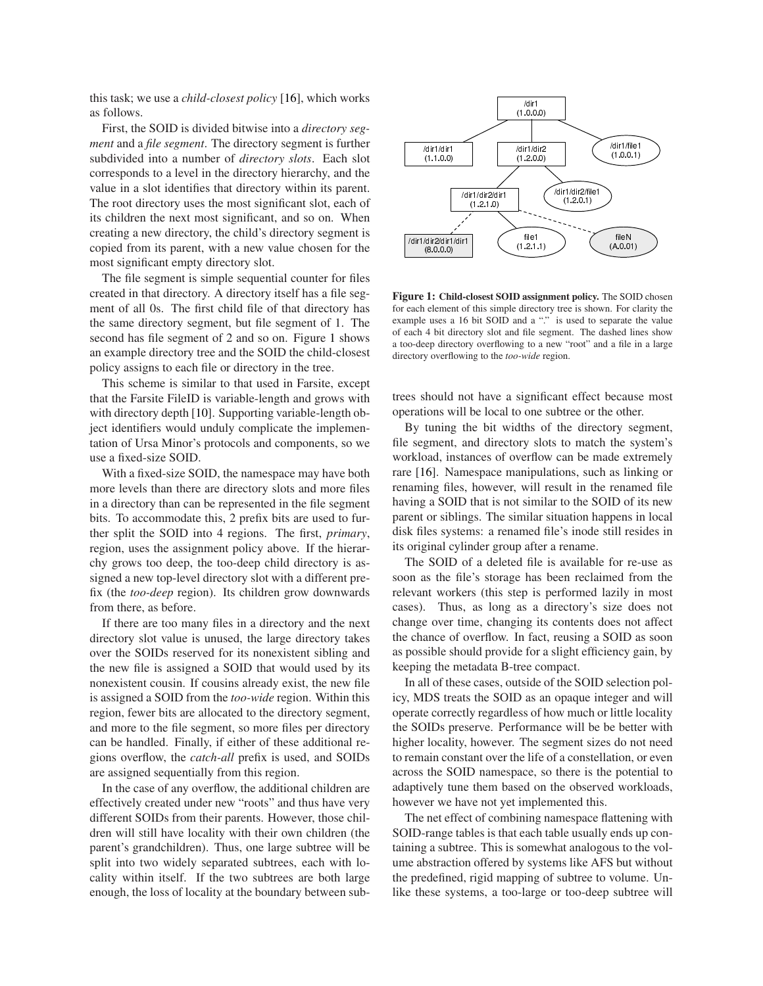this task; we use a *child-closest policy* [\[16\]](#page-14-29), which works as follows.

First, the SOID is divided bitwise into a *directory segment* and a *file segment*. The directory segment is further subdivided into a number of *directory slots*. Each slot corresponds to a level in the directory hierarchy, and the value in a slot identifies that directory within its parent. The root directory uses the most significant slot, each of its children the next most significant, and so on. When creating a new directory, the child's directory segment is copied from its parent, with a new value chosen for the most significant empty directory slot.

The file segment is simple sequential counter for files created in that directory. A directory itself has a file segment of all 0s. The first child file of that directory has the same directory segment, but file segment of 1. The second has file segment of 2 and so on. Figure [1](#page-6-0) shows an example directory tree and the SOID the child-closest policy assigns to each file or directory in the tree.

This scheme is similar to that used in Farsite, except that the Farsite FileID is variable-length and grows with with directory depth [\[10\]](#page-14-22). Supporting variable-length object identifiers would unduly complicate the implementation of Ursa Minor's protocols and components, so we use a fixed-size SOID.

With a fixed-size SOID, the namespace may have both more levels than there are directory slots and more files in a directory than can be represented in the file segment bits. To accommodate this, 2 prefix bits are used to further split the SOID into 4 regions. The first, *primary*, region, uses the assignment policy above. If the hierarchy grows too deep, the too-deep child directory is assigned a new top-level directory slot with a different prefix (the *too-deep* region). Its children grow downwards from there, as before.

If there are too many files in a directory and the next directory slot value is unused, the large directory takes over the SOIDs reserved for its nonexistent sibling and the new file is assigned a SOID that would used by its nonexistent cousin. If cousins already exist, the new file is assigned a SOID from the *too-wide* region. Within this region, fewer bits are allocated to the directory segment, and more to the file segment, so more files per directory can be handled. Finally, if either of these additional regions overflow, the *catch-all* prefix is used, and SOIDs are assigned sequentially from this region.

In the case of any overflow, the additional children are effectively created under new "roots" and thus have very different SOIDs from their parents. However, those children will still have locality with their own children (the parent's grandchildren). Thus, one large subtree will be split into two widely separated subtrees, each with locality within itself. If the two subtrees are both large enough, the loss of locality at the boundary between sub-



<span id="page-6-0"></span>**Figure 1: Child-closest SOID assignment policy.** The SOID chosen for each element of this simple directory tree is shown. For clarity the example uses a 16 bit SOID and a "." is used to separate the value of each 4 bit directory slot and file segment. The dashed lines show a too-deep directory overflowing to a new "root" and a file in a large directory overflowing to the *too-wide* region.

trees should not have a significant effect because most operations will be local to one subtree or the other.

By tuning the bit widths of the directory segment, file segment, and directory slots to match the system's workload, instances of overflow can be made extremely rare [\[16\]](#page-14-29). Namespace manipulations, such as linking or renaming files, however, will result in the renamed file having a SOID that is not similar to the SOID of its new parent or siblings. The similar situation happens in local disk files systems: a renamed file's inode still resides in its original cylinder group after a rename.

The SOID of a deleted file is available for re-use as soon as the file's storage has been reclaimed from the relevant workers (this step is performed lazily in most cases). Thus, as long as a directory's size does not change over time, changing its contents does not affect the chance of overflow. In fact, reusing a SOID as soon as possible should provide for a slight efficiency gain, by keeping the metadata B-tree compact.

In all of these cases, outside of the SOID selection policy, MDS treats the SOID as an opaque integer and will operate correctly regardless of how much or little locality the SOIDs preserve. Performance will be be better with higher locality, however. The segment sizes do not need to remain constant over the life of a constellation, or even across the SOID namespace, so there is the potential to adaptively tune them based on the observed workloads, however we have not yet implemented this.

The net effect of combining namespace flattening with SOID-range tables is that each table usually ends up containing a subtree. This is somewhat analogous to the volume abstraction offered by systems like AFS but without the predefined, rigid mapping of subtree to volume. Unlike these systems, a too-large or too-deep subtree will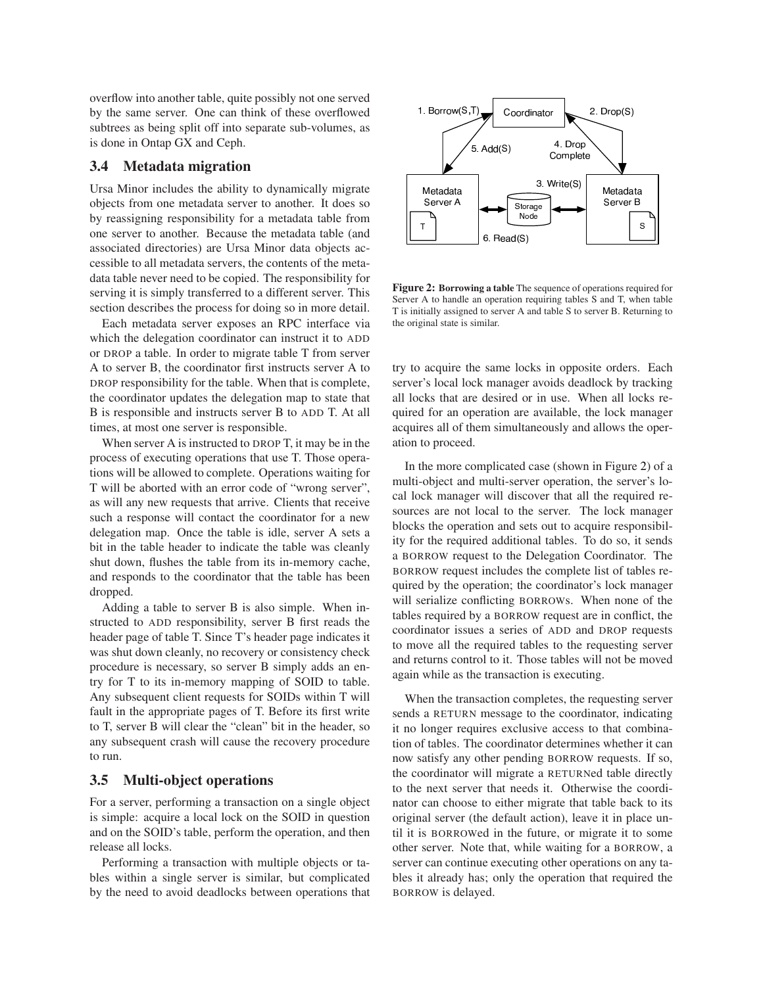overflow into another table, quite possibly not one served by the same server. One can think of these overflowed subtrees as being split off into separate sub-volumes, as is done in Ontap GX and Ceph.

# <span id="page-7-2"></span>**3.4 Metadata migration**

Ursa Minor includes the ability to dynamically migrate objects from one metadata server to another. It does so by reassigning responsibility for a metadata table from one server to another. Because the metadata table (and associated directories) are Ursa Minor data objects accessible to all metadata servers, the contents of the metadata table never need to be copied. The responsibility for serving it is simply transferred to a different server. This section describes the process for doing so in more detail.

Each metadata server exposes an RPC interface via which the delegation coordinator can instruct it to ADD or DROP a table. In order to migrate table T from server A to server B, the coordinator first instructs server A to DROP responsibility for the table. When that is complete, the coordinator updates the delegation map to state that B is responsible and instructs server B to ADD T. At all times, at most one server is responsible.

When server A is instructed to DROP T, it may be in the process of executing operations that use T. Those operations will be allowed to complete. Operations waiting for T will be aborted with an error code of "wrong server", as will any new requests that arrive. Clients that receive such a response will contact the coordinator for a new delegation map. Once the table is idle, server A sets a bit in the table header to indicate the table was cleanly shut down, flushes the table from its in-memory cache, and responds to the coordinator that the table has been dropped.

Adding a table to server B is also simple. When instructed to ADD responsibility, server B first reads the header page of table T. Since T's header page indicates it was shut down cleanly, no recovery or consistency check procedure is necessary, so server B simply adds an entry for T to its in-memory mapping of SOID to table. Any subsequent client requests for SOIDs within T will fault in the appropriate pages of T. Before its first write to T, server B will clear the "clean" bit in the header, so any subsequent crash will cause the recovery procedure to run.

# <span id="page-7-0"></span>**3.5 Multi-object operations**

For a server, performing a transaction on a single object is simple: acquire a local lock on the SOID in question and on the SOID's table, perform the operation, and then release all locks.

Performing a transaction with multiple objects or tables within a single server is similar, but complicated by the need to avoid deadlocks between operations that



<span id="page-7-3"></span>**Figure 2: Borrowing a table** The sequence of operations required for Server A to handle an operation requiring tables S and T, when table T is initially assigned to server A and table S to server B. Returning to the original state is similar.

try to acquire the same locks in opposite orders. Each server's local lock manager avoids deadlock by tracking all locks that are desired or in use. When all locks required for an operation are available, the lock manager acquires all of them simultaneously and allows the operation to proceed.

In the more complicated case (shown in Figure [2\)](#page-7-3) of a multi-object and multi-server operation, the server's local lock manager will discover that all the required resources are not local to the server. The lock manager blocks the operation and sets out to acquire responsibility for the required additional tables. To do so, it sends a BORROW request to the Delegation Coordinator. The BORROW request includes the complete list of tables required by the operation; the coordinator's lock manager will serialize conflicting BORROWs. When none of the tables required by a BORROW request are in conflict, the coordinator issues a series of ADD and DROP requests to move all the required tables to the requesting server and returns control to it. Those tables will not be moved again while as the transaction is executing.

<span id="page-7-1"></span>When the transaction completes, the requesting server sends a RETURN message to the coordinator, indicating it no longer requires exclusive access to that combination of tables. The coordinator determines whether it can now satisfy any other pending BORROW requests. If so, the coordinator will migrate a RETURNed table directly to the next server that needs it. Otherwise the coordinator can choose to either migrate that table back to its original server (the default action), leave it in place until it is BORROWed in the future, or migrate it to some other server. Note that, while waiting for a BORROW, a server can continue executing other operations on any tables it already has; only the operation that required the BORROW is delayed.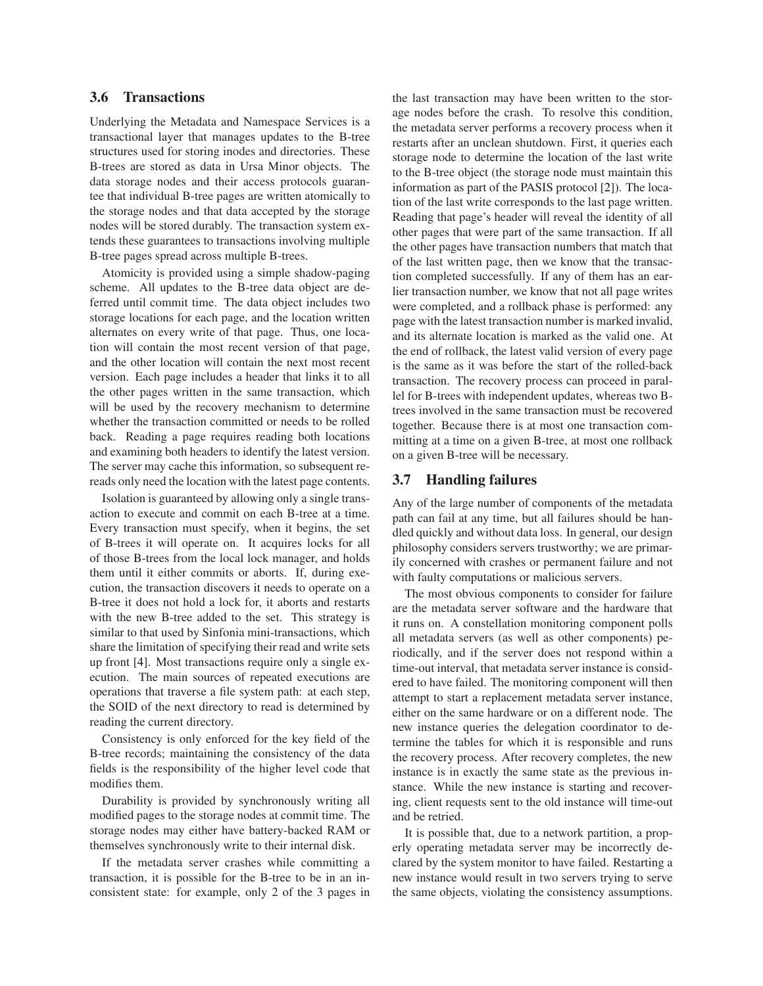# **3.6 Transactions**

Underlying the Metadata and Namespace Services is a transactional layer that manages updates to the B-tree structures used for storing inodes and directories. These B-trees are stored as data in Ursa Minor objects. The data storage nodes and their access protocols guarantee that individual B-tree pages are written atomically to the storage nodes and that data accepted by the storage nodes will be stored durably. The transaction system extends these guarantees to transactions involving multiple B-tree pages spread across multiple B-trees.

Atomicity is provided using a simple shadow-paging scheme. All updates to the B-tree data object are deferred until commit time. The data object includes two storage locations for each page, and the location written alternates on every write of that page. Thus, one location will contain the most recent version of that page, and the other location will contain the next most recent version. Each page includes a header that links it to all the other pages written in the same transaction, which will be used by the recovery mechanism to determine whether the transaction committed or needs to be rolled back. Reading a page requires reading both locations and examining both headers to identify the latest version. The server may cache this information, so subsequent rereads only need the location with the latest page contents.

Isolation is guaranteed by allowing only a single transaction to execute and commit on each B-tree at a time. Every transaction must specify, when it begins, the set of B-trees it will operate on. It acquires locks for all of those B-trees from the local lock manager, and holds them until it either commits or aborts. If, during execution, the transaction discovers it needs to operate on a B-tree it does not hold a lock for, it aborts and restarts with the new B-tree added to the set. This strategy is similar to that used by Sinfonia mini-transactions, which share the limitation of specifying their read and write sets up front [\[4\]](#page-14-30). Most transactions require only a single execution. The main sources of repeated executions are operations that traverse a file system path: at each step, the SOID of the next directory to read is determined by reading the current directory.

Consistency is only enforced for the key field of the B-tree records; maintaining the consistency of the data fields is the responsibility of the higher level code that modifies them.

Durability is provided by synchronously writing all modified pages to the storage nodes at commit time. The storage nodes may either have battery-backed RAM or themselves synchronously write to their internal disk.

If the metadata server crashes while committing a transaction, it is possible for the B-tree to be in an inconsistent state: for example, only 2 of the 3 pages in the last transaction may have been written to the storage nodes before the crash. To resolve this condition, the metadata server performs a recovery process when it restarts after an unclean shutdown. First, it queries each storage node to determine the location of the last write to the B-tree object (the storage node must maintain this information as part of the PASIS protocol [\[2\]](#page-14-31)). The location of the last write corresponds to the last page written. Reading that page's header will reveal the identity of all other pages that were part of the same transaction. If all the other pages have transaction numbers that match that of the last written page, then we know that the transaction completed successfully. If any of them has an earlier transaction number, we know that not all page writes were completed, and a rollback phase is performed: any page with the latest transaction number is marked invalid, and its alternate location is marked as the valid one. At the end of rollback, the latest valid version of every page is the same as it was before the start of the rolled-back transaction. The recovery process can proceed in parallel for B-trees with independent updates, whereas two Btrees involved in the same transaction must be recovered together. Because there is at most one transaction committing at a time on a given B-tree, at most one rollback on a given B-tree will be necessary.

### **3.7 Handling failures**

Any of the large number of components of the metadata path can fail at any time, but all failures should be handled quickly and without data loss. In general, our design philosophy considers servers trustworthy; we are primarily concerned with crashes or permanent failure and not with faulty computations or malicious servers.

The most obvious components to consider for failure are the metadata server software and the hardware that it runs on. A constellation monitoring component polls all metadata servers (as well as other components) periodically, and if the server does not respond within a time-out interval, that metadata server instance is considered to have failed. The monitoring component will then attempt to start a replacement metadata server instance, either on the same hardware or on a different node. The new instance queries the delegation coordinator to determine the tables for which it is responsible and runs the recovery process. After recovery completes, the new instance is in exactly the same state as the previous instance. While the new instance is starting and recovering, client requests sent to the old instance will time-out and be retried.

It is possible that, due to a network partition, a properly operating metadata server may be incorrectly declared by the system monitor to have failed. Restarting a new instance would result in two servers trying to serve the same objects, violating the consistency assumptions.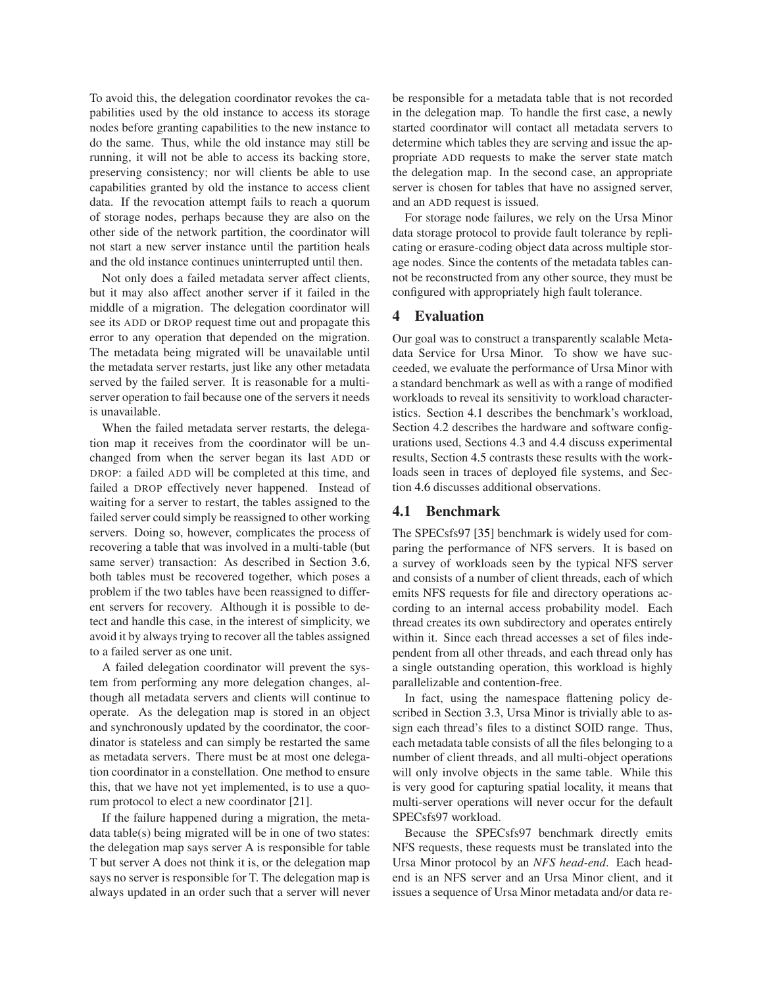To avoid this, the delegation coordinator revokes the capabilities used by the old instance to access its storage nodes before granting capabilities to the new instance to do the same. Thus, while the old instance may still be running, it will not be able to access its backing store, preserving consistency; nor will clients be able to use capabilities granted by old the instance to access client data. If the revocation attempt fails to reach a quorum of storage nodes, perhaps because they are also on the other side of the network partition, the coordinator will not start a new server instance until the partition heals and the old instance continues uninterrupted until then.

Not only does a failed metadata server affect clients, but it may also affect another server if it failed in the middle of a migration. The delegation coordinator will see its ADD or DROP request time out and propagate this error to any operation that depended on the migration. The metadata being migrated will be unavailable until the metadata server restarts, just like any other metadata served by the failed server. It is reasonable for a multiserver operation to fail because one of the servers it needs is unavailable.

When the failed metadata server restarts, the delegation map it receives from the coordinator will be unchanged from when the server began its last ADD or DROP: a failed ADD will be completed at this time, and failed a DROP effectively never happened. Instead of waiting for a server to restart, the tables assigned to the failed server could simply be reassigned to other working servers. Doing so, however, complicates the process of recovering a table that was involved in a multi-table (but same server) transaction: As described in Section [3.6,](#page-7-1) both tables must be recovered together, which poses a problem if the two tables have been reassigned to different servers for recovery. Although it is possible to detect and handle this case, in the interest of simplicity, we avoid it by always trying to recover all the tables assigned to a failed server as one unit.

A failed delegation coordinator will prevent the system from performing any more delegation changes, although all metadata servers and clients will continue to operate. As the delegation map is stored in an object and synchronously updated by the coordinator, the coordinator is stateless and can simply be restarted the same as metadata servers. There must be at most one delegation coordinator in a constellation. One method to ensure this, that we have not yet implemented, is to use a quorum protocol to elect a new coordinator [\[21\]](#page-14-32).

If the failure happened during a migration, the metadata table(s) being migrated will be in one of two states: the delegation map says server A is responsible for table T but server A does not think it is, or the delegation map says no server is responsible for T. The delegation map is always updated in an order such that a server will never be responsible for a metadata table that is not recorded in the delegation map. To handle the first case, a newly started coordinator will contact all metadata servers to determine which tables they are serving and issue the appropriate ADD requests to make the server state match the delegation map. In the second case, an appropriate server is chosen for tables that have no assigned server, and an ADD request is issued.

For storage node failures, we rely on the Ursa Minor data storage protocol to provide fault tolerance by replicating or erasure-coding object data across multiple storage nodes. Since the contents of the metadata tables cannot be reconstructed from any other source, they must be configured with appropriately high fault tolerance.

## **4 Evaluation**

Our goal was to construct a transparently scalable Metadata Service for Ursa Minor. To show we have succeeded, we evaluate the performance of Ursa Minor with a standard benchmark as well as with a range of modified workloads to reveal its sensitivity to workload characteristics. Section [4.1](#page-9-0) describes the benchmark's workload, Section [4.2](#page-10-0) describes the hardware and software configurations used, Sections [4.3](#page-10-1) and [4.4](#page-10-2) discuss experimental results, Section [4.5](#page-11-0) contrasts these results with the workloads seen in traces of deployed file systems, and Section [4.6](#page-12-0) discusses additional observations.

### <span id="page-9-0"></span>**4.1 Benchmark**

The SPECsfs97 [\[35\]](#page-14-33) benchmark is widely used for comparing the performance of NFS servers. It is based on a survey of workloads seen by the typical NFS server and consists of a number of client threads, each of which emits NFS requests for file and directory operations according to an internal access probability model. Each thread creates its own subdirectory and operates entirely within it. Since each thread accesses a set of files independent from all other threads, and each thread only has a single outstanding operation, this workload is highly parallelizable and contention-free.

In fact, using the namespace flattening policy described in Section [3.3,](#page-5-0) Ursa Minor is trivially able to assign each thread's files to a distinct SOID range. Thus, each metadata table consists of all the files belonging to a number of client threads, and all multi-object operations will only involve objects in the same table. While this is very good for capturing spatial locality, it means that multi-server operations will never occur for the default SPECsfs97 workload.

Because the SPECsfs97 benchmark directly emits NFS requests, these requests must be translated into the Ursa Minor protocol by an *NFS head-end*. Each headend is an NFS server and an Ursa Minor client, and it issues a sequence of Ursa Minor metadata and/or data re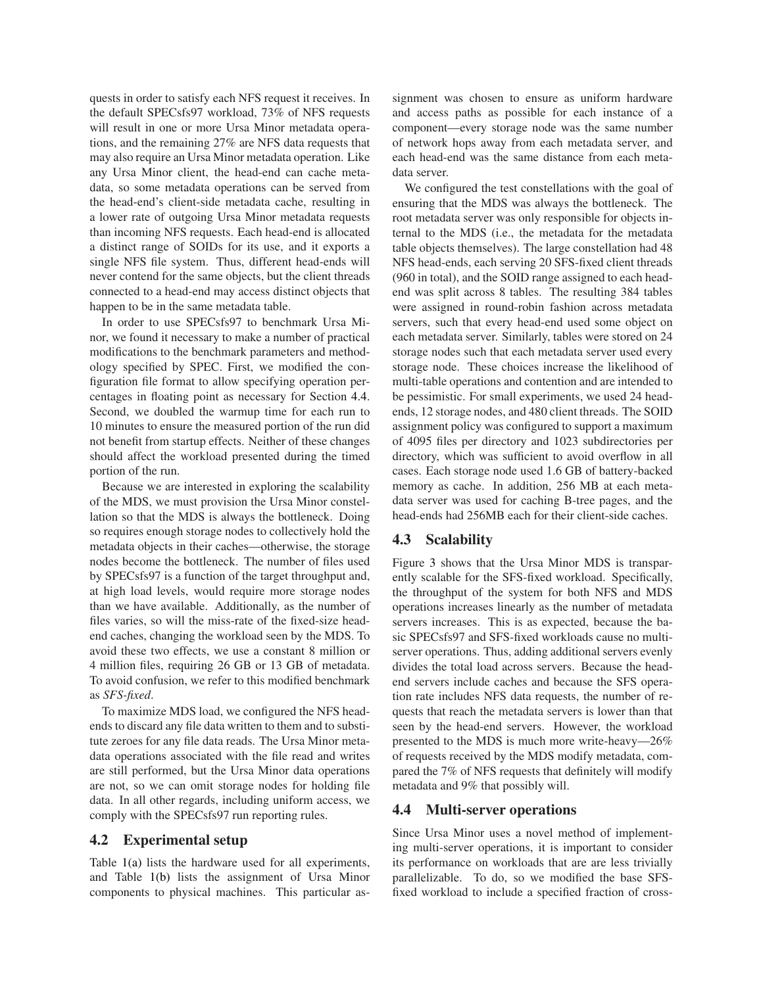quests in order to satisfy each NFS request it receives. In the default SPECsfs97 workload, 73% of NFS requests will result in one or more Ursa Minor metadata operations, and the remaining 27% are NFS data requests that may also require an Ursa Minor metadata operation. Like any Ursa Minor client, the head-end can cache metadata, so some metadata operations can be served from the head-end's client-side metadata cache, resulting in a lower rate of outgoing Ursa Minor metadata requests than incoming NFS requests. Each head-end is allocated a distinct range of SOIDs for its use, and it exports a single NFS file system. Thus, different head-ends will never contend for the same objects, but the client threads connected to a head-end may access distinct objects that happen to be in the same metadata table.

In order to use SPECsfs97 to benchmark Ursa Minor, we found it necessary to make a number of practical modifications to the benchmark parameters and methodology specified by SPEC. First, we modified the configuration file format to allow specifying operation percentages in floating point as necessary for Section [4.4.](#page-10-2) Second, we doubled the warmup time for each run to 10 minutes to ensure the measured portion of the run did not benefit from startup effects. Neither of these changes should affect the workload presented during the timed portion of the run.

Because we are interested in exploring the scalability of the MDS, we must provision the Ursa Minor constellation so that the MDS is always the bottleneck. Doing so requires enough storage nodes to collectively hold the metadata objects in their caches—otherwise, the storage nodes become the bottleneck. The number of files used by SPECsfs97 is a function of the target throughput and, at high load levels, would require more storage nodes than we have available. Additionally, as the number of files varies, so will the miss-rate of the fixed-size headend caches, changing the workload seen by the MDS. To avoid these two effects, we use a constant 8 million or 4 million files, requiring 26 GB or 13 GB of metadata. To avoid confusion, we refer to this modified benchmark as *SFS-fixed*.

To maximize MDS load, we configured the NFS headends to discard any file data written to them and to substitute zeroes for any file data reads. The Ursa Minor metadata operations associated with the file read and writes are still performed, but the Ursa Minor data operations are not, so we can omit storage nodes for holding file data. In all other regards, including uniform access, we comply with the SPECsfs97 run reporting rules.

## <span id="page-10-0"></span>**4.2 Experimental setup**

Table [1\(a\)](#page-11-1) lists the hardware used for all experiments, and Table [1\(b\)](#page-11-2) lists the assignment of Ursa Minor components to physical machines. This particular assignment was chosen to ensure as uniform hardware and access paths as possible for each instance of a component—every storage node was the same number of network hops away from each metadata server, and each head-end was the same distance from each metadata server.

We configured the test constellations with the goal of ensuring that the MDS was always the bottleneck. The root metadata server was only responsible for objects internal to the MDS (i.e., the metadata for the metadata table objects themselves). The large constellation had 48 NFS head-ends, each serving 20 SFS-fixed client threads (960 in total), and the SOID range assigned to each headend was split across 8 tables. The resulting 384 tables were assigned in round-robin fashion across metadata servers, such that every head-end used some object on each metadata server. Similarly, tables were stored on 24 storage nodes such that each metadata server used every storage node. These choices increase the likelihood of multi-table operations and contention and are intended to be pessimistic. For small experiments, we used 24 headends, 12 storage nodes, and 480 client threads. The SOID assignment policy was configured to support a maximum of 4095 files per directory and 1023 subdirectories per directory, which was sufficient to avoid overflow in all cases. Each storage node used 1.6 GB of battery-backed memory as cache. In addition, 256 MB at each metadata server was used for caching B-tree pages, and the head-ends had 256MB each for their client-side caches.

# <span id="page-10-1"></span>**4.3 Scalability**

Figure [3](#page-12-1) shows that the Ursa Minor MDS is transparently scalable for the SFS-fixed workload. Specifically, the throughput of the system for both NFS and MDS operations increases linearly as the number of metadata servers increases. This is as expected, because the basic SPECsfs97 and SFS-fixed workloads cause no multiserver operations. Thus, adding additional servers evenly divides the total load across servers. Because the headend servers include caches and because the SFS operation rate includes NFS data requests, the number of requests that reach the metadata servers is lower than that seen by the head-end servers. However, the workload presented to the MDS is much more write-heavy—26% of requests received by the MDS modify metadata, compared the 7% of NFS requests that definitely will modify metadata and 9% that possibly will.

### <span id="page-10-2"></span>**4.4 Multi-server operations**

Since Ursa Minor uses a novel method of implementing multi-server operations, it is important to consider its performance on workloads that are are less trivially parallelizable. To do, so we modified the base SFSfixed workload to include a specified fraction of cross-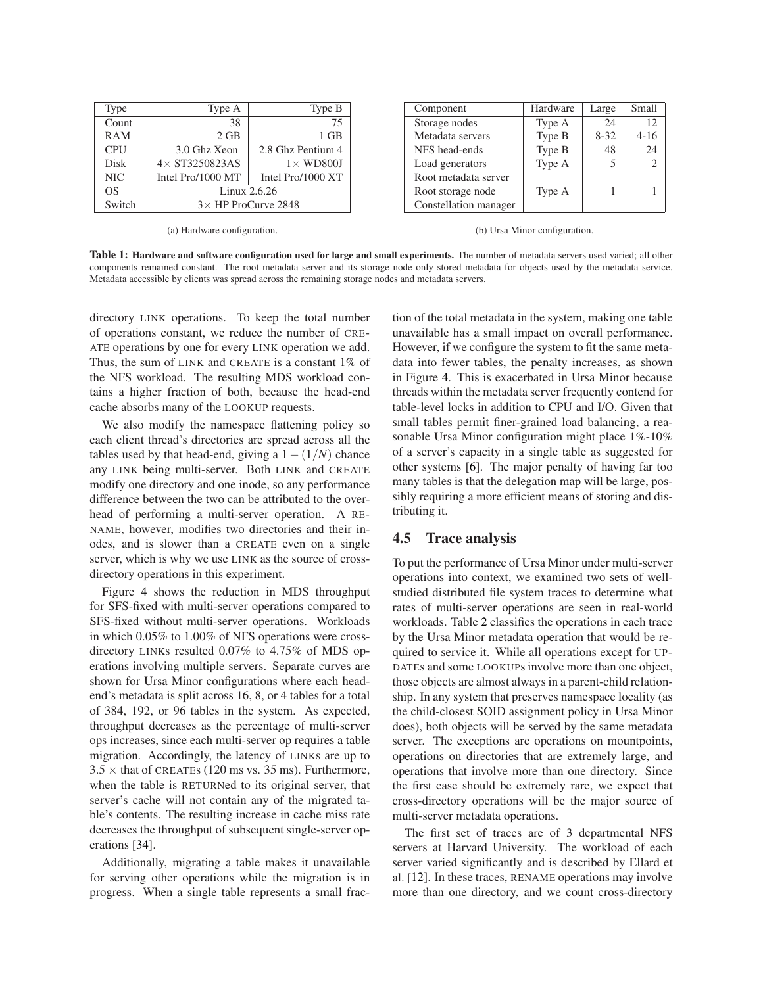<span id="page-11-1"></span>

| Type       | Type A                     | Type B            |  |  |
|------------|----------------------------|-------------------|--|--|
| Count      | 38                         | 75                |  |  |
| RAM        | $2$ GB                     | 1 GB              |  |  |
| <b>CPU</b> | 3.0 Ghz Xeon               | 2.8 Ghz Pentium 4 |  |  |
| Disk       | $4\times$ ST3250823AS      | $1 \times$ WD800J |  |  |
| <b>NIC</b> | Intel Pro/1000 MT          | Intel Pro/1000 XT |  |  |
| OS         | Linux 2.6.26               |                   |  |  |
| Switch     | $3\times$ HP ProCurve 2848 |                   |  |  |

(a) Hardware configuration.

<span id="page-11-2"></span>

| Component             | Hardware | Large    | Small                         |
|-----------------------|----------|----------|-------------------------------|
| Storage nodes         | Type A   | 24       | 12                            |
| Metadata servers      | Type B   | $8 - 32$ | $4 - 16$                      |
| NFS head-ends         | Type B   | 48       | 24                            |
| Load generators       | Type A   | 5        | $\mathfrak{D}_{\mathfrak{p}}$ |
| Root metadata server  |          |          |                               |
| Root storage node     | Type A   |          |                               |
| Constellation manager |          |          |                               |

(b) Ursa Minor configuration.

**Table 1: Hardware and software configuration used for large and small experiments.** The number of metadata servers used varied; all other components remained constant. The root metadata server and its storage node only stored metadata for objects used by the metadata service. Metadata accessible by clients was spread across the remaining storage nodes and metadata servers.

directory LINK operations. To keep the total number of operations constant, we reduce the number of CRE-ATE operations by one for every LINK operation we add. Thus, the sum of LINK and CREATE is a constant 1% of the NFS workload. The resulting MDS workload contains a higher fraction of both, because the head-end cache absorbs many of the LOOKUP requests.

We also modify the namespace flattening policy so each client thread's directories are spread across all the tables used by that head-end, giving a  $1-(1/N)$  chance any LINK being multi-server. Both LINK and CREATE modify one directory and one inode, so any performance difference between the two can be attributed to the overhead of performing a multi-server operation. A RE-NAME, however, modifies two directories and their inodes, and is slower than a CREATE even on a single server, which is why we use LINK as the source of crossdirectory operations in this experiment.

Figure [4](#page-12-2) shows the reduction in MDS throughput for SFS-fixed with multi-server operations compared to SFS-fixed without multi-server operations. Workloads in which 0.05% to 1.00% of NFS operations were crossdirectory LINKs resulted 0.07% to 4.75% of MDS operations involving multiple servers. Separate curves are shown for Ursa Minor configurations where each headend's metadata is split across 16, 8, or 4 tables for a total of 384, 192, or 96 tables in the system. As expected, throughput decreases as the percentage of multi-server ops increases, since each multi-server op requires a table migration. Accordingly, the latency of LINKs are up to  $3.5 \times$  that of CREATES (120 ms vs. 35 ms). Furthermore, when the table is RETURNed to its original server, that server's cache will not contain any of the migrated table's contents. The resulting increase in cache miss rate decreases the throughput of subsequent single-server operations [\[34\]](#page-14-34).

Additionally, migrating a table makes it unavailable for serving other operations while the migration is in progress. When a single table represents a small fraction of the total metadata in the system, making one table unavailable has a small impact on overall performance. However, if we configure the system to fit the same metadata into fewer tables, the penalty increases, as shown in Figure [4.](#page-12-2) This is exacerbated in Ursa Minor because threads within the metadata server frequently contend for table-level locks in addition to CPU and I/O. Given that small tables permit finer-grained load balancing, a reasonable Ursa Minor configuration might place 1%-10% of a server's capacity in a single table as suggested for other systems [\[6\]](#page-14-15). The major penalty of having far too many tables is that the delegation map will be large, possibly requiring a more efficient means of storing and distributing it.

# <span id="page-11-0"></span>**4.5 Trace analysis**

To put the performance of Ursa Minor under multi-server operations into context, we examined two sets of wellstudied distributed file system traces to determine what rates of multi-server operations are seen in real-world workloads. Table [2](#page-13-0) classifies the operations in each trace by the Ursa Minor metadata operation that would be required to service it. While all operations except for UP-DATEs and some LOOKUPs involve more than one object, those objects are almost always in a parent-child relationship. In any system that preserves namespace locality (as the child-closest SOID assignment policy in Ursa Minor does), both objects will be served by the same metadata server. The exceptions are operations on mountpoints, operations on directories that are extremely large, and operations that involve more than one directory. Since the first case should be extremely rare, we expect that cross-directory operations will be the major source of multi-server metadata operations.

The first set of traces are of 3 departmental NFS servers at Harvard University. The workload of each server varied significantly and is described by Ellard et al. [\[12\]](#page-14-35). In these traces, RENAME operations may involve more than one directory, and we count cross-directory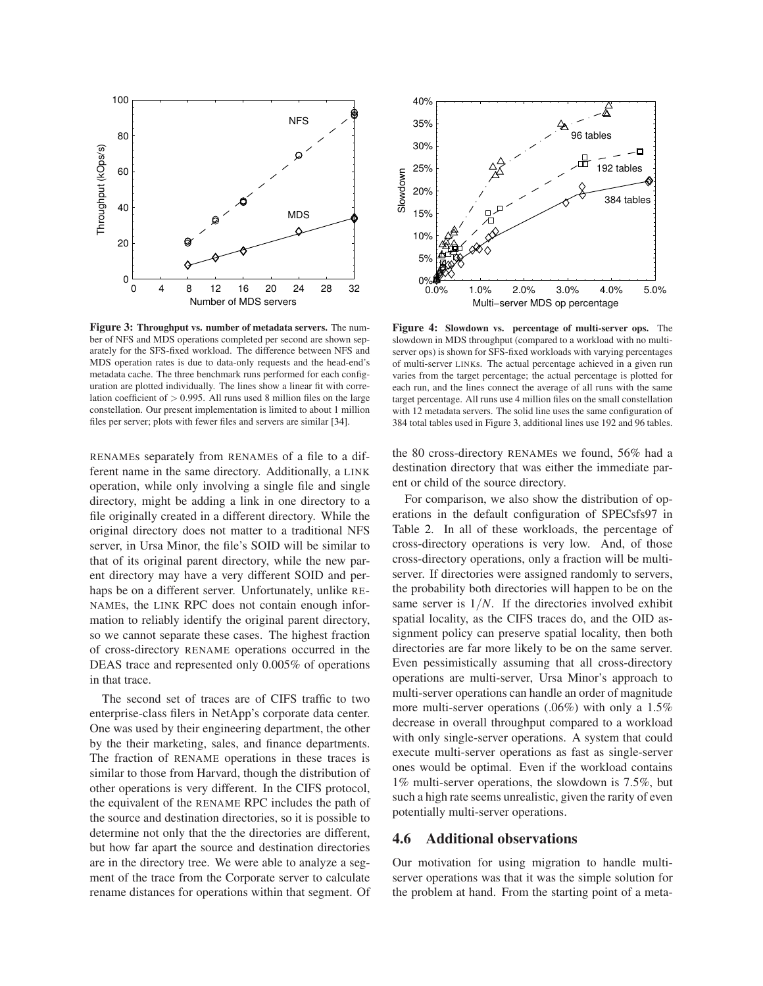

<span id="page-12-1"></span>**Figure 3: Throughput vs. number of metadata servers.** The number of NFS and MDS operations completed per second are shown separately for the SFS-fixed workload. The difference between NFS and MDS operation rates is due to data-only requests and the head-end's metadata cache. The three benchmark runs performed for each configuration are plotted individually. The lines show a linear fit with correlation coefficient of  $> 0.995$ . All runs used 8 million files on the large constellation. Our present implementation is limited to about 1 million files per server; plots with fewer files and servers are similar [\[34\]](#page-14-34).

RENAMEs separately from RENAMEs of a file to a different name in the same directory. Additionally, a LINK operation, while only involving a single file and single directory, might be adding a link in one directory to a file originally created in a different directory. While the original directory does not matter to a traditional NFS server, in Ursa Minor, the file's SOID will be similar to that of its original parent directory, while the new parent directory may have a very different SOID and perhaps be on a different server. Unfortunately, unlike RE-NAMEs, the LINK RPC does not contain enough information to reliably identify the original parent directory, so we cannot separate these cases. The highest fraction of cross-directory RENAME operations occurred in the DEAS trace and represented only 0.005% of operations in that trace.

The second set of traces are of CIFS traffic to two enterprise-class filers in NetApp's corporate data center. One was used by their engineering department, the other by the their marketing, sales, and finance departments. The fraction of RENAME operations in these traces is similar to those from Harvard, though the distribution of other operations is very different. In the CIFS protocol, the equivalent of the RENAME RPC includes the path of the source and destination directories, so it is possible to determine not only that the the directories are different, but how far apart the source and destination directories are in the directory tree. We were able to analyze a segment of the trace from the Corporate server to calculate rename distances for operations within that segment. Of



<span id="page-12-2"></span>**Figure 4: Slowdown vs. percentage of multi-server ops.** The slowdown in MDS throughput (compared to a workload with no multiserver ops) is shown for SFS-fixed workloads with varying percentages of multi-server LINKs. The actual percentage achieved in a given run varies from the target percentage; the actual percentage is plotted for each run, and the lines connect the average of all runs with the same target percentage. All runs use 4 million files on the small constellation with 12 metadata servers. The solid line uses the same configuration of 384 total tables used in Figure [3,](#page-12-1) additional lines use 192 and 96 tables.

the 80 cross-directory RENAMEs we found, 56% had a destination directory that was either the immediate parent or child of the source directory.

For comparison, we also show the distribution of operations in the default configuration of SPECsfs97 in Table [2.](#page-13-0) In all of these workloads, the percentage of cross-directory operations is very low. And, of those cross-directory operations, only a fraction will be multiserver. If directories were assigned randomly to servers, the probability both directories will happen to be on the same server is  $1/N$ . If the directories involved exhibit spatial locality, as the CIFS traces do, and the OID assignment policy can preserve spatial locality, then both directories are far more likely to be on the same server. Even pessimistically assuming that all cross-directory operations are multi-server, Ursa Minor's approach to multi-server operations can handle an order of magnitude more multi-server operations (.06%) with only a 1.5% decrease in overall throughput compared to a workload with only single-server operations. A system that could execute multi-server operations as fast as single-server ones would be optimal. Even if the workload contains 1% multi-server operations, the slowdown is 7.5%, but such a high rate seems unrealistic, given the rarity of even potentially multi-server operations.

### <span id="page-12-0"></span>**4.6 Additional observations**

Our motivation for using migration to handle multiserver operations was that it was the simple solution for the problem at hand. From the starting point of a meta-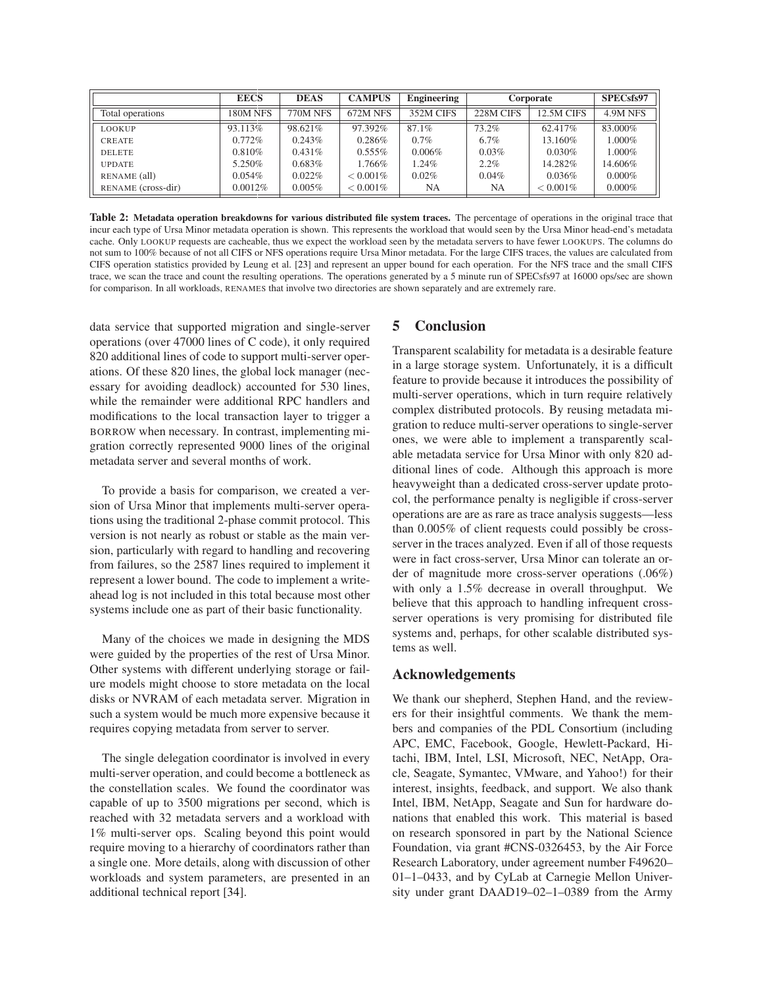|                    | <b>EECS</b> | <b>DEAS</b>     | <b>CAMPUS</b> | Engineering | Corporate |             | SPECsfs97 |
|--------------------|-------------|-----------------|---------------|-------------|-----------|-------------|-----------|
| Total operations   | 180M NFS    | <b>770M NFS</b> | 672M NFS      | 352M CIFS   | 228M CIFS | 12.5M CIFS  | 4.9M NFS  |
| LOOKUP             | 93.113%     | 98.621%         | 97.392%       | 87.1%       | 73.2%     | 62.417%     | 83.000%   |
| <b>CREATE</b>      | $0.772\%$   | $0.243\%$       | $0.286\%$     | 0.7%        | 6.7%      | 13.160\%    | $1.000\%$ |
| <b>DELETE</b>      | 0.810%      | $0.431\%$       | $0.555\%$     | $0.006\%$   | $0.03\%$  | 0.030%      | $1.000\%$ |
| <b>UPDATE</b>      | 5.250\%     | 0.683%          | 1.766%        | $1.24\%$    | $2.2\%$   | 14.282%     | 14.606%   |
| RENAME (all)       | $0.054\%$   | 0.022%          | $< 0.001\%$   | $0.02\%$    | $0.04\%$  | 0.036%      | $0.000\%$ |
| RENAME (cross-dir) | 0.0012%     | $0.005\%$       | $< 0.001\%$   | NA          | NA        | $< 0.001\%$ | $0.000\%$ |

<span id="page-13-0"></span>**Table 2: Metadata operation breakdowns for various distributed file system traces.** The percentage of operations in the original trace that incur each type of Ursa Minor metadata operation is shown. This represents the workload that would seen by the Ursa Minor head-end's metadata cache. Only LOOKUP requests are cacheable, thus we expect the workload seen by the metadata servers to have fewer LOOKUPS. The columns do not sum to 100% because of not all CIFS or NFS operations require Ursa Minor metadata. For the large CIFS traces, the values are calculated from CIFS operation statistics provided by Leung et al. [\[23\]](#page-14-36) and represent an upper bound for each operation. For the NFS trace and the small CIFS trace, we scan the trace and count the resulting operations. The operations generated by a 5 minute run of SPECsfs97 at 16000 ops/sec are shown for comparison. In all workloads, RENAMES that involve two directories are shown separately and are extremely rare.

data service that supported migration and single-server operations (over 47000 lines of C code), it only required 820 additional lines of code to support multi-server operations. Of these 820 lines, the global lock manager (necessary for avoiding deadlock) accounted for 530 lines, while the remainder were additional RPC handlers and modifications to the local transaction layer to trigger a BORROW when necessary. In contrast, implementing migration correctly represented 9000 lines of the original metadata server and several months of work.

To provide a basis for comparison, we created a version of Ursa Minor that implements multi-server operations using the traditional 2-phase commit protocol. This version is not nearly as robust or stable as the main version, particularly with regard to handling and recovering from failures, so the 2587 lines required to implement it represent a lower bound. The code to implement a writeahead log is not included in this total because most other systems include one as part of their basic functionality.

Many of the choices we made in designing the MDS were guided by the properties of the rest of Ursa Minor. Other systems with different underlying storage or failure models might choose to store metadata on the local disks or NVRAM of each metadata server. Migration in such a system would be much more expensive because it requires copying metadata from server to server.

The single delegation coordinator is involved in every multi-server operation, and could become a bottleneck as the constellation scales. We found the coordinator was capable of up to 3500 migrations per second, which is reached with 32 metadata servers and a workload with 1% multi-server ops. Scaling beyond this point would require moving to a hierarchy of coordinators rather than a single one. More details, along with discussion of other workloads and system parameters, are presented in an additional technical report [\[34\]](#page-14-34).

# **5 Conclusion**

Transparent scalability for metadata is a desirable feature in a large storage system. Unfortunately, it is a difficult feature to provide because it introduces the possibility of multi-server operations, which in turn require relatively complex distributed protocols. By reusing metadata migration to reduce multi-server operations to single-server ones, we were able to implement a transparently scalable metadata service for Ursa Minor with only 820 additional lines of code. Although this approach is more heavyweight than a dedicated cross-server update protocol, the performance penalty is negligible if cross-server operations are are as rare as trace analysis suggests—less than 0.005% of client requests could possibly be crossserver in the traces analyzed. Even if all of those requests were in fact cross-server, Ursa Minor can tolerate an order of magnitude more cross-server operations (.06%) with only a 1.5% decrease in overall throughput. We believe that this approach to handling infrequent crossserver operations is very promising for distributed file systems and, perhaps, for other scalable distributed systems as well.

### **Acknowledgements**

We thank our shepherd, Stephen Hand, and the reviewers for their insightful comments. We thank the members and companies of the PDL Consortium (including APC, EMC, Facebook, Google, Hewlett-Packard, Hitachi, IBM, Intel, LSI, Microsoft, NEC, NetApp, Oracle, Seagate, Symantec, VMware, and Yahoo!) for their interest, insights, feedback, and support. We also thank Intel, IBM, NetApp, Seagate and Sun for hardware donations that enabled this work. This material is based on research sponsored in part by the National Science Foundation, via grant #CNS-0326453, by the Air Force Research Laboratory, under agreement number F49620– 01–1–0433, and by CyLab at Carnegie Mellon University under grant DAAD19–02–1–0389 from the Army